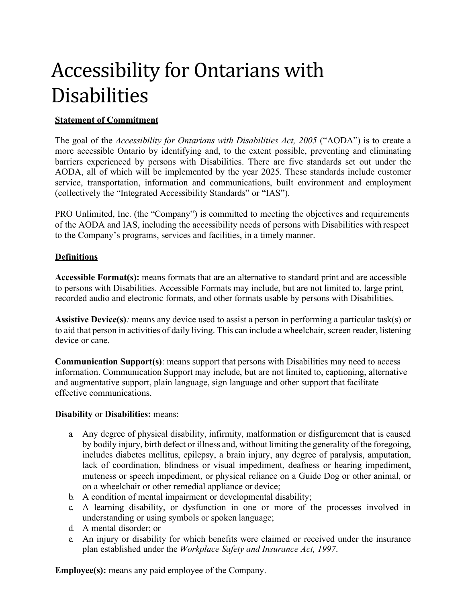# Accessibility for Ontarians with **Disabilities**

## **Statement of Commitment**

The goal of the *Accessibility for Ontarians with Disabilities Act, 2005* ("AODA") is to create a more accessible Ontario by identifying and, to the extent possible, preventing and eliminating barriers experienced by persons with Disabilities. There are five standards set out under the AODA, all of which will be implemented by the year 2025. These standards include customer service, transportation, information and communications, built environment and employment (collectively the "Integrated Accessibility Standards" or "IAS").

PRO Unlimited, Inc. (the "Company") is committed to meeting the objectives and requirements of the AODA and IAS, including the accessibility needs of persons with Disabilities with respect to the Company's programs, services and facilities, in a timely manner.

## **Definitions**

**Accessible Format(s):** means formats that are an alternative to standard print and are accessible to persons with Disabilities. Accessible Formats may include, but are not limited to, large print, recorded audio and electronic formats, and other formats usable by persons with Disabilities.

**Assistive Device(s)***:* means any device used to assist a person in performing a particular task(s) or to aid that person in activities of daily living. This can include a wheelchair, screen reader, listening device or cane.

**Communication Support(s)**: means support that persons with Disabilities may need to access information. Communication Support may include, but are not limited to, captioning, alternative and augmentative support, plain language, sign language and other support that facilitate effective communications.

#### **Disability** or **Disabilities:** means:

- a. Any degree of physical disability, infirmity, malformation or disfigurement that is caused by bodily injury, birth defect or illness and, without limiting the generality of the foregoing, includes diabetes mellitus, epilepsy, a brain injury, any degree of paralysis, amputation, lack of coordination, blindness or visual impediment, deafness or hearing impediment, muteness or speech impediment, or physical reliance on a Guide Dog or other animal, or on a wheelchair or other remedial appliance or device;
- b. A condition of mental impairment or developmental disability;
- c. A learning disability, or dysfunction in one or more of the processes involved in understanding or using symbols or spoken language;
- d. A mental disorder; or
- e. An injury or disability for which benefits were claimed or received under the insurance plan established under the *Workplace Safety and Insurance Act, 1997*.

**Employee(s):** means any paid employee of the Company.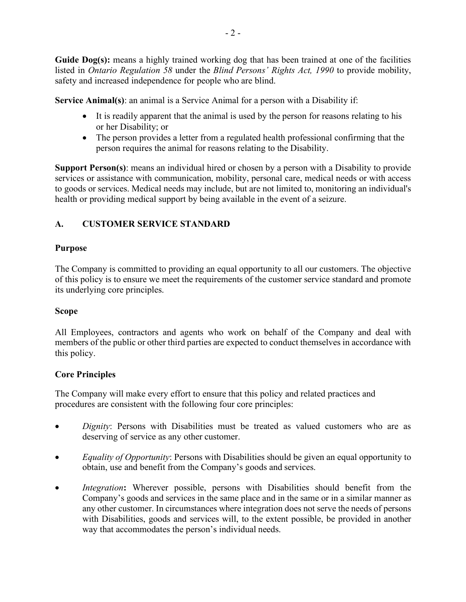- 2 -

**Guide Dog(s):** means a highly trained working dog that has been trained at one of the facilities listed in *Ontario Regulation 58* under the *Blind Persons' Rights Act, 1990* to provide mobility, safety and increased independence for people who are blind.

**Service Animal(s)**: an animal is a Service Animal for a person with a Disability if:

- It is readily apparent that the animal is used by the person for reasons relating to his or her Disability; or
- The person provides a letter from a regulated health professional confirming that the person requires the animal for reasons relating to the Disability.

**Support Person(s)**: means an individual hired or chosen by a person with a Disability to provide services or assistance with communication, mobility, personal care, medical needs or with access to goods or services. Medical needs may include, but are not limited to, monitoring an individual's health or providing medical support by being available in the event of a seizure.

# **A. CUSTOMER SERVICE STANDARD**

## **Purpose**

The Company is committed to providing an equal opportunity to all our customers. The objective of this policy is to ensure we meet the requirements of the customer service standard and promote its underlying core principles.

## **Scope**

All Employees, contractors and agents who work on behalf of the Company and deal with members of the public or other third parties are expected to conduct themselves in accordance with this policy.

# **Core Principles**

The Company will make every effort to ensure that this policy and related practices and procedures are consistent with the following four core principles:

- *Dignity*: Persons with Disabilities must be treated as valued customers who are as deserving of service as any other customer.
- *Equality of Opportunity*: Persons with Disabilities should be given an equal opportunity to obtain, use and benefit from the Company's goods and services.
- *Integration*: Wherever possible, persons with Disabilities should benefit from the Company's goods and services in the same place and in the same or in a similar manner as any other customer. In circumstances where integration does not serve the needs of persons with Disabilities, goods and services will, to the extent possible, be provided in another way that accommodates the person's individual needs.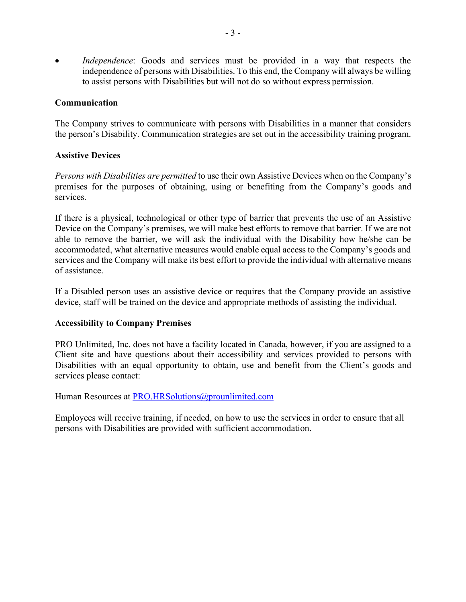*Independence*: Goods and services must be provided in a way that respects the independence of persons with Disabilities. To this end, the Company will always be willing to assist persons with Disabilities but will not do so without express permission.

### **Communication**

The Company strives to communicate with persons with Disabilities in a manner that considers the person's Disability. Communication strategies are set out in the accessibility training program.

## **Assistive Devices**

*Persons with Disabilities are permitted* to use their own Assistive Devices when on the Company's premises for the purposes of obtaining, using or benefiting from the Company's goods and services.

If there is a physical, technological or other type of barrier that prevents the use of an Assistive Device on the Company's premises, we will make best efforts to remove that barrier. If we are not able to remove the barrier, we will ask the individual with the Disability how he/she can be accommodated, what alternative measures would enable equal access to the Company's goods and services and the Company will make its best effort to provide the individual with alternative means of assistance.

If a Disabled person uses an assistive device or requires that the Company provide an assistive device, staff will be trained on the device and appropriate methods of assisting the individual.

#### **Accessibility to Company Premises**

PRO Unlimited, Inc. does not have a facility located in Canada, however, if you are assigned to a Client site and have questions about their accessibility and services provided to persons with Disabilities with an equal opportunity to obtain, use and benefit from the Client's goods and services please contact:

Human Resources at PRO.HRSolutions@prounlimited.com

Employees will receive training, if needed, on how to use the services in order to ensure that all persons with Disabilities are provided with sufficient accommodation.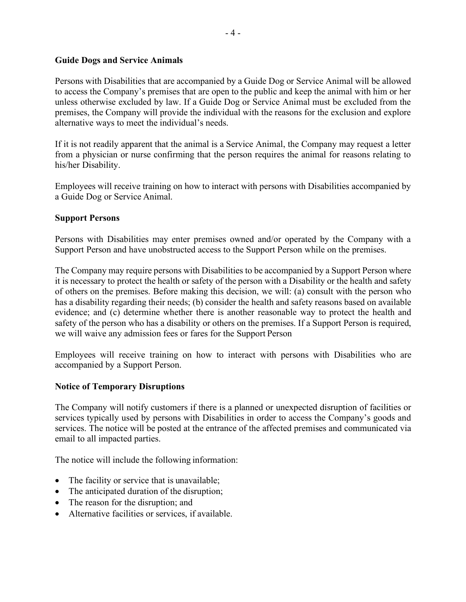#### **Guide Dogs and Service Animals**

Persons with Disabilities that are accompanied by a Guide Dog or Service Animal will be allowed to access the Company's premises that are open to the public and keep the animal with him or her unless otherwise excluded by law. If a Guide Dog or Service Animal must be excluded from the premises, the Company will provide the individual with the reasons for the exclusion and explore alternative ways to meet the individual's needs.

If it is not readily apparent that the animal is a Service Animal, the Company may request a letter from a physician or nurse confirming that the person requires the animal for reasons relating to his/her Disability.

Employees will receive training on how to interact with persons with Disabilities accompanied by a Guide Dog or Service Animal.

## **Support Persons**

Persons with Disabilities may enter premises owned and/or operated by the Company with a Support Person and have unobstructed access to the Support Person while on the premises.

The Company may require persons with Disabilities to be accompanied by a Support Person where it is necessary to protect the health or safety of the person with a Disability or the health and safety of others on the premises. Before making this decision, we will: (a) consult with the person who has a disability regarding their needs; (b) consider the health and safety reasons based on available evidence; and (c) determine whether there is another reasonable way to protect the health and safety of the person who has a disability or others on the premises. If a Support Person is required, we will waive any admission fees or fares for the Support Person

Employees will receive training on how to interact with persons with Disabilities who are accompanied by a Support Person.

## **Notice of Temporary Disruptions**

The Company will notify customers if there is a planned or unexpected disruption of facilities or services typically used by persons with Disabilities in order to access the Company's goods and services. The notice will be posted at the entrance of the affected premises and communicated via email to all impacted parties.

The notice will include the following information:

- The facility or service that is unavailable;
- The anticipated duration of the disruption;
- The reason for the disruption; and
- Alternative facilities or services, if available.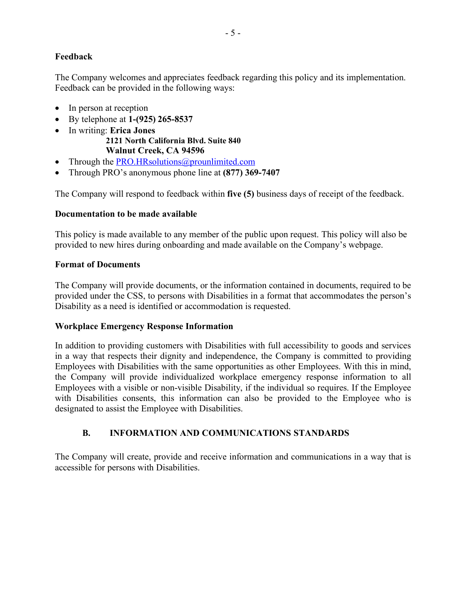## **Feedback**

The Company welcomes and appreciates feedback regarding this policy and its implementation. Feedback can be provided in the following ways:

- In person at reception
- By telephone at **1-(925) 265-8537**
- In writing: **Erica Jones 2121 North California Blvd. Suite 840 Walnut Creek, CA 94596**
- Through the PRO.HRsolutions@prounlimited.com
- Through PRO's anonymous phone line at **(877) 369-7407**

The Company will respond to feedback within **five (5)** business days of receipt of the feedback.

## **Documentation to be made available**

This policy is made available to any member of the public upon request. This policy will also be provided to new hires during onboarding and made available on the Company's webpage.

## **Format of Documents**

The Company will provide documents, or the information contained in documents, required to be provided under the CSS, to persons with Disabilities in a format that accommodates the person's Disability as a need is identified or accommodation is requested.

## **Workplace Emergency Response Information**

In addition to providing customers with Disabilities with full accessibility to goods and services in a way that respects their dignity and independence, the Company is committed to providing Employees with Disabilities with the same opportunities as other Employees. With this in mind, the Company will provide individualized workplace emergency response information to all Employees with a visible or non-visible Disability, if the individual so requires. If the Employee with Disabilities consents, this information can also be provided to the Employee who is designated to assist the Employee with Disabilities.

# **B. INFORMATION AND COMMUNICATIONS STANDARDS**

The Company will create, provide and receive information and communications in a way that is accessible for persons with Disabilities.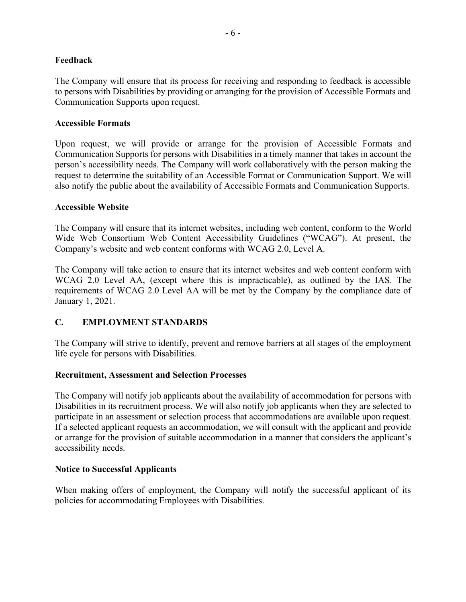## **Feedback**

The Company will ensure that its process for receiving and responding to feedback is accessible to persons with Disabilities by providing or arranging for the provision of Accessible Formats and Communication Supports upon request.

### **Accessible Formats**

Upon request, we will provide or arrange for the provision of Accessible Formats and Communication Supports for persons with Disabilities in a timely manner that takes in account the person's accessibility needs. The Company will work collaboratively with the person making the request to determine the suitability of an Accessible Format or Communication Support. We will also notify the public about the availability of Accessible Formats and Communication Supports.

#### **Accessible Website**

The Company will ensure that its internet websites, including web content, conform to the World Wide Web Consortium Web Content Accessibility Guidelines ("WCAG"). At present, the Company's website and web content conforms with WCAG 2.0, Level A.

The Company will take action to ensure that its internet websites and web content conform with WCAG 2.0 Level AA, (except where this is impracticable), as outlined by the IAS. The requirements of WCAG 2.0 Level AA will be met by the Company by the compliance date of January 1, 2021.

## **C. EMPLOYMENT STANDARDS**

The Company will strive to identify, prevent and remove barriers at all stages of the employment life cycle for persons with Disabilities.

#### **Recruitment, Assessment and Selection Processes**

The Company will notify job applicants about the availability of accommodation for persons with Disabilities in its recruitment process. We will also notify job applicants when they are selected to participate in an assessment or selection process that accommodations are available upon request. If a selected applicant requests an accommodation, we will consult with the applicant and provide or arrange for the provision of suitable accommodation in a manner that considers the applicant's accessibility needs.

#### **Notice to Successful Applicants**

When making offers of employment, the Company will notify the successful applicant of its policies for accommodating Employees with Disabilities.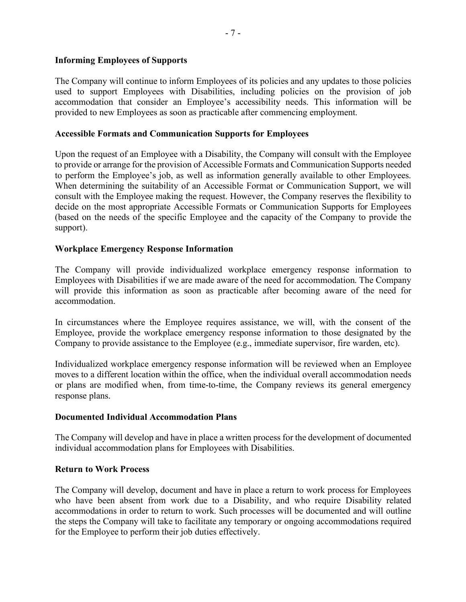## **Informing Employees of Supports**

The Company will continue to inform Employees of its policies and any updates to those policies used to support Employees with Disabilities, including policies on the provision of job accommodation that consider an Employee's accessibility needs. This information will be provided to new Employees as soon as practicable after commencing employment.

## **Accessible Formats and Communication Supports for Employees**

Upon the request of an Employee with a Disability, the Company will consult with the Employee to provide or arrange for the provision of Accessible Formats and Communication Supports needed to perform the Employee's job, as well as information generally available to other Employees. When determining the suitability of an Accessible Format or Communication Support, we will consult with the Employee making the request. However, the Company reserves the flexibility to decide on the most appropriate Accessible Formats or Communication Supports for Employees (based on the needs of the specific Employee and the capacity of the Company to provide the support).

## **Workplace Emergency Response Information**

The Company will provide individualized workplace emergency response information to Employees with Disabilities if we are made aware of the need for accommodation. The Company will provide this information as soon as practicable after becoming aware of the need for accommodation.

In circumstances where the Employee requires assistance, we will, with the consent of the Employee, provide the workplace emergency response information to those designated by the Company to provide assistance to the Employee (e.g., immediate supervisor, fire warden, etc).

Individualized workplace emergency response information will be reviewed when an Employee moves to a different location within the office, when the individual overall accommodation needs or plans are modified when, from time-to-time, the Company reviews its general emergency response plans.

#### **Documented Individual Accommodation Plans**

The Company will develop and have in place a written process for the development of documented individual accommodation plans for Employees with Disabilities.

#### **Return to Work Process**

The Company will develop, document and have in place a return to work process for Employees who have been absent from work due to a Disability, and who require Disability related accommodations in order to return to work. Such processes will be documented and will outline the steps the Company will take to facilitate any temporary or ongoing accommodations required for the Employee to perform their job duties effectively.